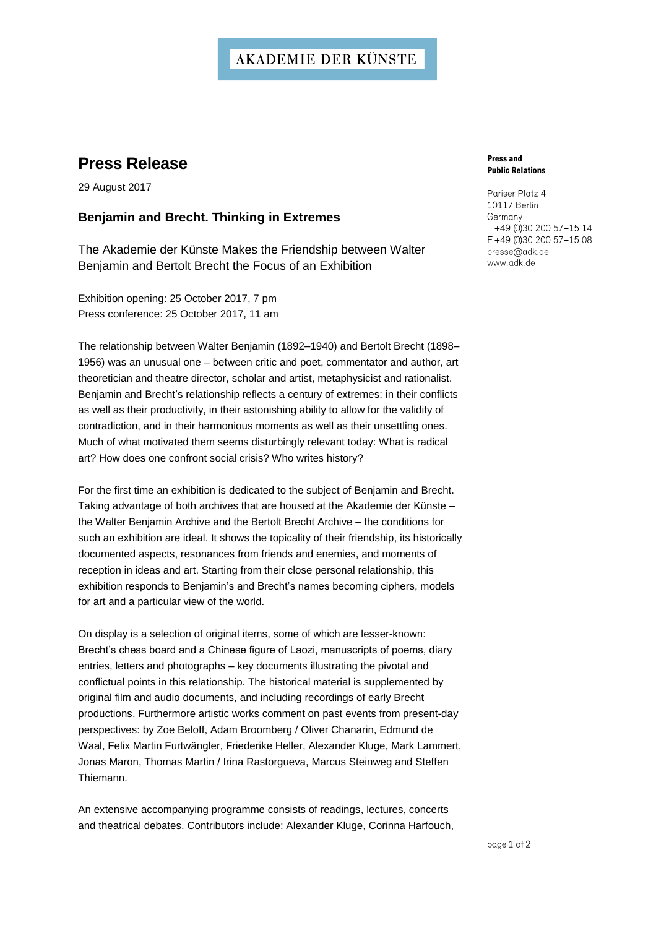### **AKADEMIE DER KÜNSTE**

## **Press Release**

29 August 2017

### **Benjamin and Brecht. Thinking in Extremes**

The Akademie der Künste Makes the Friendship between Walter Benjamin and Bertolt Brecht the Focus of an Exhibition

Exhibition opening: 25 October 2017, 7 pm Press conference: 25 October 2017, 11 am

The relationship between Walter Benjamin (1892–1940) and Bertolt Brecht (1898– 1956) was an unusual one - between critic and poet, commentator and author, art theoretician and theatre director, scholar and artist, metaphysicist and rationalist. Benjamin and Brecht's relationship reflects a century of extremes: in their conflicts as well as their productivity, in their astonishing ability to allow for the validity of contradiction, and in their harmonious moments as well as their unsettling ones. Much of what motivated them seems disturbingly relevant today: What is radical art? How does one confront social crisis? Who writes history?

For the first time an exhibition is dedicated to the subject of Benjamin and Brecht. Taking advantage of both archives that are housed at the Akademie der Künste the Walter Benjamin Archive and the Bertolt Brecht Archive – the conditions for such an exhibition are ideal. It shows the topicality of their friendship, its historically documented aspects, resonances from friends and enemies, and moments of reception in ideas and art. Starting from their close personal relationship, this exhibition responds to Benjamin's and Brecht's names becoming ciphers, models for art and a particular view of the world.

On display is a selection of original items, some of which are lesser-known: Brecht's chess board and a Chinese figure of Laozi, manuscripts of poems, diary entries, letters and photographs – key documents illustrating the pivotal and conflictual points in this relationship. The historical material is supplemented by original film and audio documents, and including recordings of early Brecht productions. Furthermore artistic works comment on past events from present-day perspectives: by Zoe Beloff, Adam Broomberg / Oliver Chanarin, Edmund de Waal, Felix Martin Furtwängler, Friederike Heller, Alexander Kluge, Mark Lammert, Jonas Maron, Thomas Martin / Irina Rastorgueva, Marcus Steinweg and Steffen Thiemann.

An extensive accompanying programme consists of readings, lectures, concerts and theatrical debates. Contributors include: Alexander Kluge, Corinna Harfouch,

#### Press and Public Relations

Pariser Platz 4 10117 Berlin Germany T +49 (0)30 200 57-15 14 F +49 (0)30 200 57-15 08 presse@adk.de www.adk.de